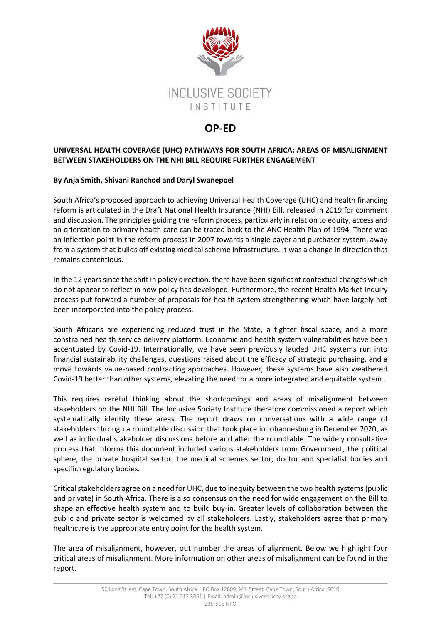

## **OP-ED**

## **UNIVERSAL HEALTH COVERAGE (UHC) PATHWAYS FOR SOUTH AFRICA: AREAS OF MISALIGNMENT BETWEEN STAKEHOLDERS ON THE NHI BILL REQUIRE FURTHER ENGAGEMENT**

## **By Anja Smith, Shivani Ranchod and Daryl Swanepoel**

South Africa's proposed approach to achieving Universal Health Coverage (UHC) and health financing reform is articulated in the Draft National Health Insurance (NHI) Bill, released in 2019 for comment and discussion. The principles guiding the reform process, particularly in relation to equity, access and an orientation to primary health care can be traced back to the ANC Health Plan of 1994. There was an inflection point in the reform process in 2007 towards a single payer and purchaser system, away from a system that builds off existing medical scheme infrastructure. It was a change in direction that remains contentious.

In the 12 years since the shift in policy direction, there have been significant contextual changes which do not appear to reflect in how policy has developed. Furthermore, the recent Health Market Inquiry process put forward a number of proposals for health system strengthening which have largely not been incorporated into the policy process.

South Africans are experiencing reduced trust in the State, a tighter fiscal space, and a more constrained health service delivery platform. Economic and health system vulnerabilities have been accentuated by Covid-19. Internationally, we have seen previously lauded UHC systems run into financial sustainability challenges, questions raised about the efficacy of strategic purchasing, and a move towards value-based contracting approaches. However, these systems have also weathered Covid-19 better than other systems, elevating the need for a more integrated and equitable system.

This requires careful thinking about the shortcomings and areas of misalignment between stakeholders on the NHI Bill. The Inclusive Society Institute therefore commissioned a report which systematically identify these areas. The report draws on conversations with a wide range of stakeholders through a roundtable discussion that took place in Johannesburg in December 2020, as well as individual stakeholder discussions before and after the roundtable. The widely consultative process that informs this document included various stakeholders from Government, the political sphere, the private hospital sector, the medical schemes sector, doctor and specialist bodies and specific regulatory bodies.

Critical stakeholders agree on a need for UHC, due to inequity between the two health systems (public and private) in South Africa. There is also consensus on the need for wide engagement on the Bill to shape an effective health system and to build buy-in. Greater levels of collaboration between the public and private sector is welcomed by all stakeholders. Lastly, stakeholders agree that primary healthcare is the appropriate entry point for the health system.

The area of misalignment, however, out number the areas of alignment. Below we highlight four critical areas of misalignment. More information on other areas of misalignment can be found in the report.